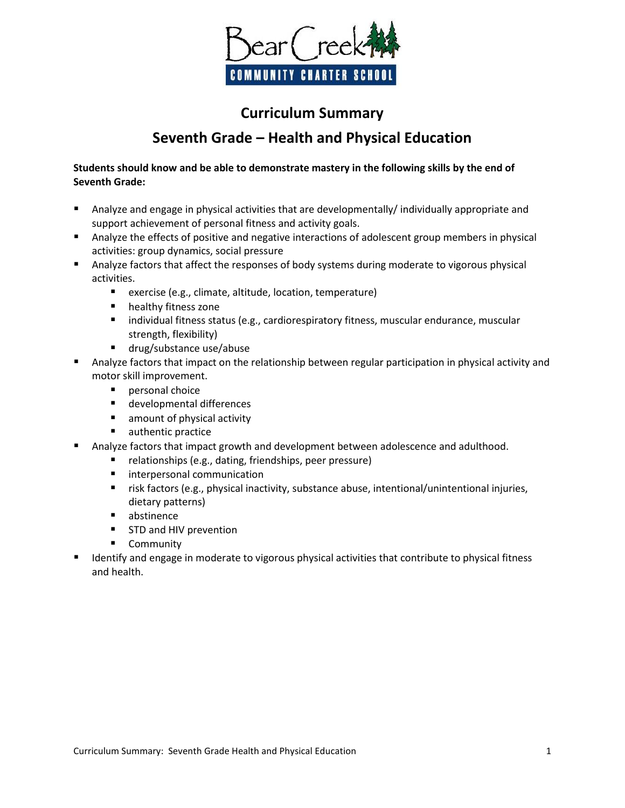

## **Curriculum Summary Seventh Grade – Health and Physical Education**

## **Students should know and be able to demonstrate mastery in the following skills by the end of Seventh Grade:**

- Analyze and engage in physical activities that are developmentally/ individually appropriate and support achievement of personal fitness and activity goals.
- Analyze the effects of positive and negative interactions of adolescent group members in physical activities: group dynamics, social pressure
- Analyze factors that affect the responses of body systems during moderate to vigorous physical activities.
	- exercise (e.g., climate, altitude, location, temperature)
	- **n** healthy fitness zone
	- **EXEDENTIFIELD FITTES IN A STATE STATES IN STATE STATES** individual fitness status endurance, muscular strength, flexibility)
	- drug/substance use/abuse
- Analyze factors that impact on the relationship between regular participation in physical activity and motor skill improvement.
	- **P** personal choice
	- developmental differences
	- amount of physical activity
	- **authentic practice**
- Analyze factors that impact growth and development between adolescence and adulthood.
	- relationships (e.g., dating, friendships, peer pressure)
	- **ulteratable interpersonal communication**
	- risk factors (e.g., physical inactivity, substance abuse, intentional/unintentional injuries, dietary patterns)
	- abstinence
	- **STD and HIV prevention**
	- **Community**
- Identify and engage in moderate to vigorous physical activities that contribute to physical fitness and health.